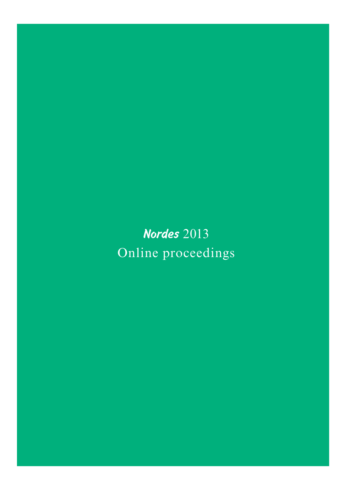Nordes 2013 Online proceedings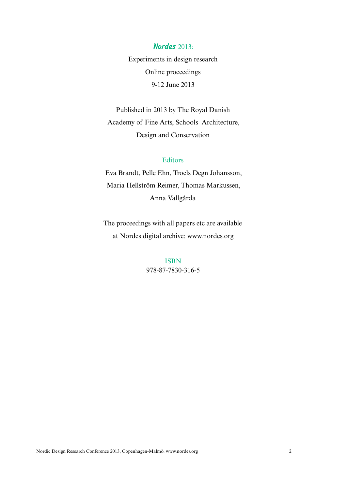### Nordes 2013:

Experiments in design research Online proceedings 9-12 June 2013

Published in 2013 by The Royal Danish Academy of Fine Arts, Schools Architecture, Design and Conservation

### Editors

Eva Brandt, Pelle Ehn, Troels Degn Johansson, Maria Hellström Reimer, Thomas Markussen, Anna Vallgårda

The proceedings with all papers etc are available at Nordes digital archive: www.nordes.org

> ISBN 978-87-7830-316-5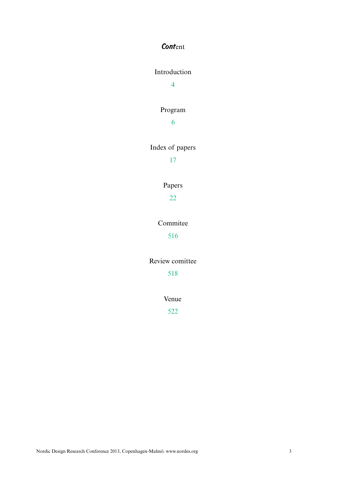### **Content**

### Introduction

4

### Program

6

## Index of papers

17

## Papers

22

### Commitee

516

### Review comittee

518

### Venue

522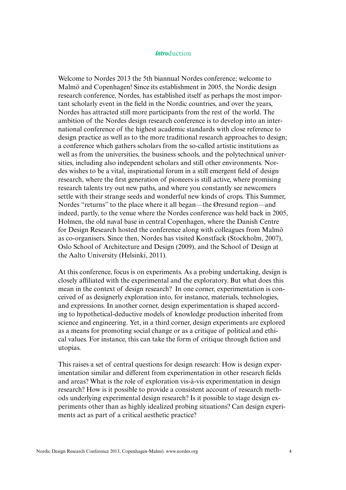### **Introduction**

Welcome to Nordes 2013 the 5th biannual Nordes conference; welcome to Malmö and Copenhagen! Since its establishment in 2005, the Nordic design research conference, Nordes, has established itself as perhaps the most important scholarly event in the feld in the Nordic countries, and over the years, Nordes has attracted still more participants from the rest of the world. The ambition of the Nordes design research conference is to develop into an international conference of the highest academic standards with close reference to design practice as well as to the more traditional research approaches to design; a conference which gathers scholars from the so-called artistic institutions as well as from the universities, the business schools, and the polytechnical universities, including also independent scholars and still other environments. Nordes wishes to be a vital, inspirational forum in a still emergent feld of design research, where the frst generation of pioneers is still active, where promising research talents try out new paths, and where you constantly see newcomers settle with their strange seeds and wonderful new kinds of crops. This Summer, Nordes "returns" to the place where it all began—the Øresund region—and indeed, partly, to the venue where the Nordes conference was held back in 2005, Holmen, the old naval base in central Copenhagen, where the Danish Centre for Design Research hosted the conference along with colleagues from Malmö as co-organisers. Since then, Nordes has visited Konstfack (Stockholm, 2007), Oslo School of Architecture and Design (2009), and the School of Design at the Aalto University (Helsinki, 2011).

At this conference, focus is on experiments. As a probing undertaking, design is closely affliated with the experimental and the exploratory. But what does this mean in the context of design research? In one corner, experimentation is conceived of as designerly exploration into, for instance, materials, technologies, and expressions. In another corner, design experimentation is shaped according to hypothetical-deductive models of knowledge production inherited from science and engineering. Yet, in a third corner, design experiments are explored as a means for promoting social change or as a critique of political and ethical values. For instance, this can take the form of critique through fction and utopias.

This raises a set of central questions for design research: How is design experimentation similar and different from experimentation in other research felds and areas? What is the role of exploration vis-à-vis experimentation in design research? How is it possible to provide a consistent account of research methods underlying experimental design research? Is it possible to stage design experiments other than as highly idealized probing situations? Can design experiments act as part of a critical aesthetic practice?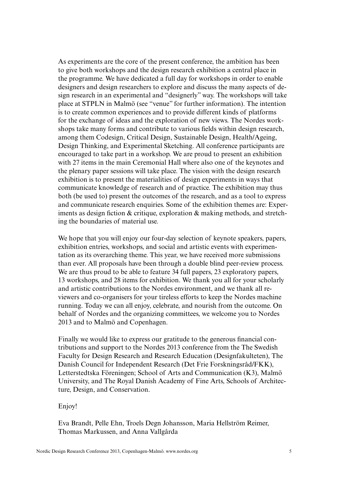As experiments are the core of the present conference, the ambition has been to give both workshops and the design research exhibition a central place in the programme. We have dedicated a full day for workshops in order to enable designers and design researchers to explore and discuss the many aspects of design research in an experimental and "designerly" way. The workshops will take place at STPLN in Malmö (see "venue" for further information). The intention is to create common experiences and to provide different kinds of platforms for the exchange of ideas and the exploration of new views. The Nordes workshops take many forms and contribute to various felds within design research, among them Codesign, Critical Design, Sustainable Design, Health/Ageing, Design Thinking, and Experimental Sketching. All conference participants are encouraged to take part in a workshop. We are proud to present an exhibition with 27 items in the main Ceremonial Hall where also one of the keynotes and the plenary paper sessions will take place. The vision with the design research exhibition is to present the materialities of design experiments in ways that communicate knowledge of research and of practice. The exhibition may thus both (be used to) present the outcomes of the research, and as a tool to express and communicate research enquiries. Some of the exhibition themes are: Experiments as design fiction  $\&$  critique, exploration  $\&$  making methods, and stretching the boundaries of material use.

We hope that you will enjoy our four-day selection of keynote speakers, papers, exhibition entries, workshops, and social and artistic events with experimentation as its overarching theme. This year, we have received more submissions than ever. All proposals have been through a double blind peer-review process. We are thus proud to be able to feature 34 full papers, 23 exploratory papers, 13 workshops, and 28 items for exhibition. We thank you all for your scholarly and artistic contributions to the Nordes environment, and we thank all reviewers and co-organisers for your tireless efforts to keep the Nordes machine running. Today we can all enjoy, celebrate, and nourish from the outcome. On behalf of Nordes and the organizing committees, we welcome you to Nordes 2013 and to Malmö and Copenhagen.

Finally we would like to express our gratitude to the generous fnancial contributions and support to the Nordes 2013 conference from the The Swedish Faculty for Design Research and Research Education (Designfakulteten), The Danish Council for Independent Research (Det Frie Forskningsråd/FKK), Letterstedtska Föreningen; School of Arts and Communication (K3), Malmö University, and The Royal Danish Academy of Fine Arts, Schools of Architecture, Design, and Conservation.

#### Enjoy!

Eva Brandt, Pelle Ehn, Troels Degn Johansson, Maria Hellström Reimer, Thomas Markussen, and Anna Vallgårda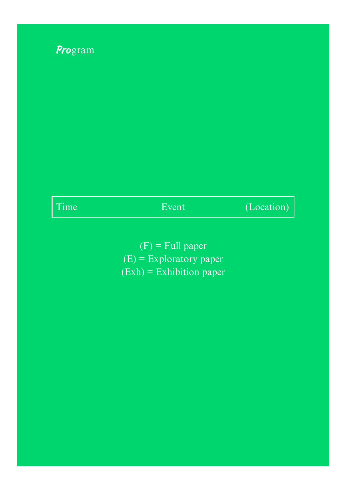

| <b>Service Service</b> | $\mathcal{L}^{\text{max}}_{\text{max}}$ and $\mathcal{L}^{\text{max}}_{\text{max}}$ and $\mathcal{L}^{\text{max}}_{\text{max}}$ and $\mathcal{L}^{\text{max}}_{\text{max}}$ |  |
|------------------------|-----------------------------------------------------------------------------------------------------------------------------------------------------------------------------|--|

Event (Location)

 $(F)$  = Full paper (E) = Exploratory paper (Exh) = Exhibition paper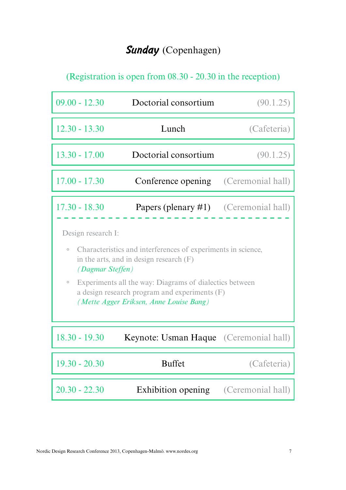# Sunday (Copenhagen)

(Registration is open from 08.30 - 20.30 in the reception)

| $09.00 - 12.30$                                                                                                                                                                           | Doctorial consortium                          | (90.1.25)   |
|-------------------------------------------------------------------------------------------------------------------------------------------------------------------------------------------|-----------------------------------------------|-------------|
| $12.30 - 13.30$                                                                                                                                                                           | Lunch                                         | (Cafeteria) |
| $13.30 - 17.00$                                                                                                                                                                           | Doctorial consortium                          | (90.1.25)   |
| $17.00 - 17.30$                                                                                                                                                                           | <b>Conference opening</b> (Ceremonial hall)   |             |
| $17.30 - 18.30$                                                                                                                                                                           | <b>Papers (plenary #1)</b> (Ceremonial hall)  |             |
| <i>(Dagmar Steffen)</i><br>Experiments all the way: Diagrams of dialectics between<br>$\circ$<br>a design research program and experiments (F)<br>(Mette Agger Eriksen, Anne Louise Bang) |                                               |             |
| $18.30 - 19.30$                                                                                                                                                                           | <b>Keynote: Usman Haque</b> (Ceremonial hall) |             |
| $19.30 - 20.30$                                                                                                                                                                           |                                               | (Cafeteria) |
|                                                                                                                                                                                           | <b>Buffet</b>                                 |             |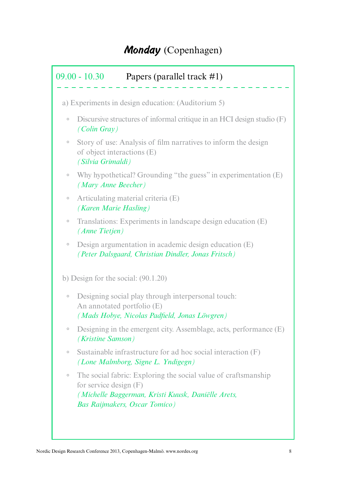# Monday (Copenhagen)

|         | a) Experiments in design education: (Auditorium 5)                                                                                                                      |
|---------|-------------------------------------------------------------------------------------------------------------------------------------------------------------------------|
| $\circ$ | Discursive structures of informal critique in an HCI design studio (F)<br>$(Colin$ Gray)                                                                                |
| $\circ$ | Story of use: Analysis of film narratives to inform the design<br>of object interactions (E)<br>(Silvia Grimaldi)                                                       |
| $\circ$ | Why hypothetical? Grounding "the guess" in experimentation (E)<br>(Mary Anne Beecher)                                                                                   |
| $\circ$ | Articulating material criteria (E)<br>(Karen Marie Hasling)                                                                                                             |
| $\circ$ | Translations: Experiments in landscape design education (E)<br>(Anne Tietjen)                                                                                           |
|         |                                                                                                                                                                         |
| $\circ$ | Design argumentation in academic design education (E)<br>(Peter Dalsgaard, Christian Dindler, Jonas Fritsch)                                                            |
|         | b) Design for the social: $(90.1.20)$                                                                                                                                   |
| $\circ$ | Designing social play through interpersonal touch:<br>An annotated portfolio (E)<br>(Mads Hobye, Nicolas Padfield, Jonas Löwgren)                                       |
|         | (Kristine Samson)                                                                                                                                                       |
| $\circ$ | Designing in the emergent city. Assemblage, acts, performance (E)<br>Sustainable infrastructure for ad hoc social interaction (F)<br>(Lone Malmborg, Signe L. Yndigegn) |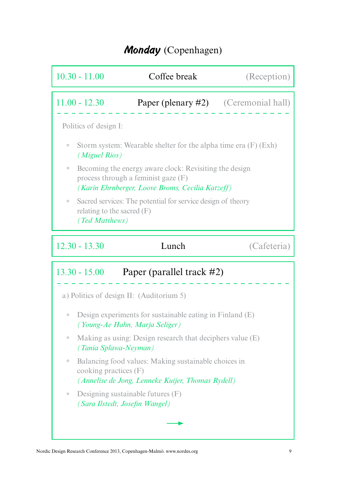## Monday (Copenhagen)

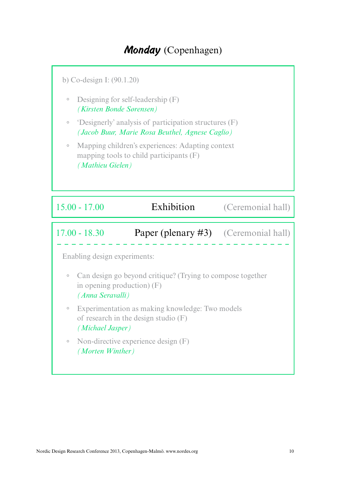## Monday (Copenhagen)

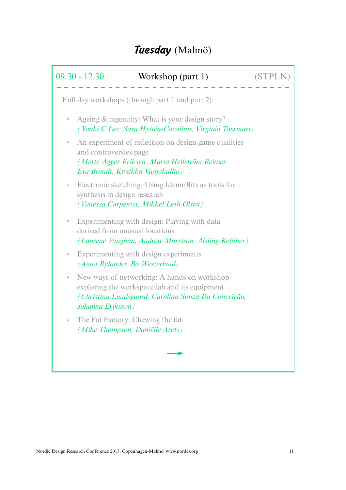# Tuesday (Malmö)

|         | $09.30 - 12.30$<br>Workshop (part 1)                                                                                                                                      |  |
|---------|---------------------------------------------------------------------------------------------------------------------------------------------------------------------------|--|
|         | Full day workshops (through part 1 and part 2):                                                                                                                           |  |
| $\circ$ | Ageing & ingenuity: What is your design story?<br>(Yanki C Lee, Sara Hyltén-Cavallius, Virginia Tassinari)                                                                |  |
| $\circ$ | An experiment of reflection on design game qualities<br>and controversies page<br>(Mette Agger Eriksen, Maria Hellström Reimer,<br>Eva Brandt, Kirsikka Vaajakallio)      |  |
| $\circ$ | Electronic sketching: Using IdemoBits as tools for<br>synthesis in design research<br>(Vanessa Carpenter, Mikkel Leth Olsen)                                              |  |
| $\circ$ | Experimenting with design: Playing with data<br>derived from unusual locations<br>(Laurene Vaughan, Andrew Morrison, Aisling Kelliher)                                    |  |
| $\circ$ | Experimenting with design experiments<br>(Anna Rylander, Bo Westerlund)                                                                                                   |  |
| $\circ$ | New ways of networking: A hands on workshop<br>exploring the workspace: lab and its equipment<br>(Christina Lundsgaard, Carolina Souza Da Conceição,<br>Johanna Eriksson) |  |
| $\circ$ | The Fat Factory: Chewing the fat<br>(Mike Thompson, Daniëlle Arets)                                                                                                       |  |
|         |                                                                                                                                                                           |  |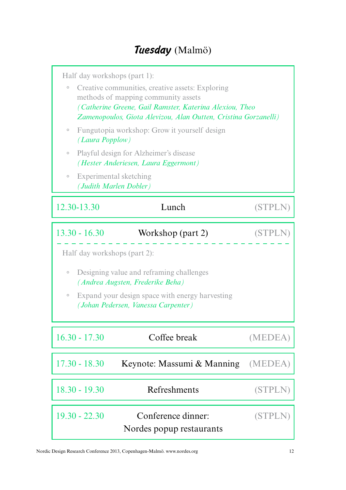# Tuesday (Malmö)

| Half day workshops (part 1):<br>Creative communities, creative assets: Exploring<br>$\circ$<br>methods of mapping community assets<br>(Catherine Greene, Gail Ramster, Katerina Alexiou, Theo<br>Zamenopoulos, Giota Alevizou, Alan Outten, Cristina Gorzanelli)<br>Fungutopia workshop: Grow it yourself design<br>$\circ$ |                                                |                |  |
|-----------------------------------------------------------------------------------------------------------------------------------------------------------------------------------------------------------------------------------------------------------------------------------------------------------------------------|------------------------------------------------|----------------|--|
| (Laura Popplow)<br>Playful design for Alzheimer's disease<br>$\circ$<br>(Hester Anderiesen, Laura Eggermont)<br>Experimental sketching<br>$\circ$                                                                                                                                                                           |                                                |                |  |
| (Judith Marlen Dobler)                                                                                                                                                                                                                                                                                                      |                                                |                |  |
| 12.30-13.30                                                                                                                                                                                                                                                                                                                 | Lunch                                          | (STPL)         |  |
| $13.30 - 16.30$<br>Workshop (part 2)<br>(STPI<br>Half day workshops (part 2):<br>$\circ$                                                                                                                                                                                                                                    |                                                |                |  |
| Designing value and reframing challenges<br>(Andrea Augsten, Frederike Beha)<br>Expand your design space with energy harvesting<br>$\circ$<br>(Johan Pedersen, Vanessa Carpenter)                                                                                                                                           |                                                |                |  |
| $16.30 - 17.30$                                                                                                                                                                                                                                                                                                             | Coffee break                                   | (MEDEA)        |  |
| $17.30 - 18.30$                                                                                                                                                                                                                                                                                                             | Keynote: Massumi & Manning                     | (MEDEA)        |  |
| $18.30 - 19.30$                                                                                                                                                                                                                                                                                                             | Refreshments                                   | <b>(STPLN)</b> |  |
| $19.30 - 22.30$                                                                                                                                                                                                                                                                                                             | Conference dinner:<br>Nordes popup restaurants | <b>(STPLN)</b> |  |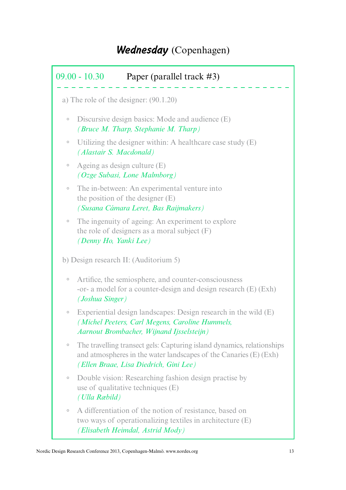|         | $09.00 - 10.30$<br>Paper (parallel track $\#3$ )                                                                                                                                      |
|---------|---------------------------------------------------------------------------------------------------------------------------------------------------------------------------------------|
|         | a) The role of the designer: $(90.1.20)$                                                                                                                                              |
| $\circ$ | Discursive design basics: Mode and audience (E)<br>(Bruce M. Tharp, Stephanie M. Tharp)                                                                                               |
| $\circ$ | Utilizing the designer within: A healthcare case study (E)<br>(Alastair S. Macdonald)                                                                                                 |
| $\circ$ | Ageing as design culture (E)<br>(Ozge Subasi, Lone Malmborg)                                                                                                                          |
| $\circ$ | The in-between: An experimental venture into<br>the position of the designer $(E)$<br>(Susana Cámara Leret, Bas Raijmakers)                                                           |
| $\circ$ | The ingenuity of ageing: An experiment to explore<br>the role of designers as a moral subject $(F)$<br>(Denny Ho, Yanki Lee)                                                          |
|         | b) Design research II: (Auditorium 5)                                                                                                                                                 |
| $\circ$ | Artifice, the semiosphere, and counter-consciousness<br>-or- a model for a counter-design and design research (E) (Exh)<br>(Joshua Singer)                                            |
| $\circ$ | Experiential design landscapes: Design research in the wild (E)<br>(Michel Peeters, Carl Megens, Caroline Hummels,<br>Aarnout Brombacher, Wijnand Ijsselsteijn)                       |
| $\circ$ | The travelling transect gels: Capturing island dynamics, relationships<br>and atmospheres in the water landscapes of the Canaries (E) (Exh)<br>(Ellen Braae, Lisa Diedrich, Gini Lee) |
|         |                                                                                                                                                                                       |
| $\circ$ | Double vision: Researching fashion design practise by<br>use of qualitative techniques (E)<br>(Ulla Ræbild)                                                                           |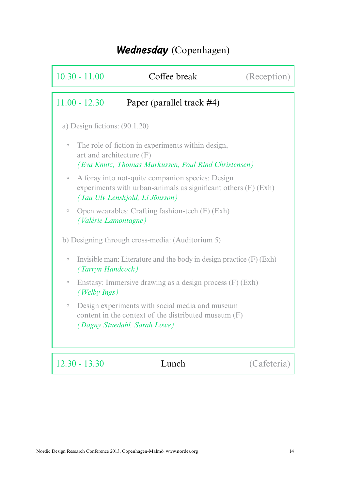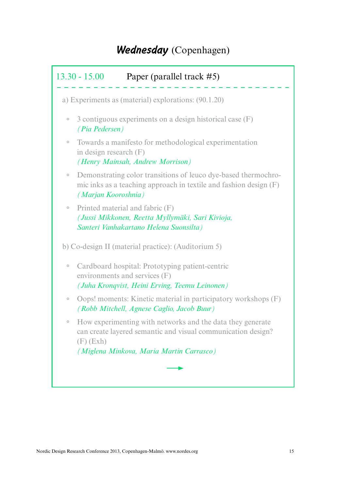|         | $13.30 - 15.00$<br>Paper (parallel track #5)                                                                                                                                          |
|---------|---------------------------------------------------------------------------------------------------------------------------------------------------------------------------------------|
|         | a) Experiments as (material) explorations: (90.1.20)                                                                                                                                  |
| $\circ$ | 3 contiguous experiments on a design historical case (F)<br><i>(Pia Pedersen)</i>                                                                                                     |
| $\circ$ | Towards a manifesto for methodological experimentation<br>in design research $(F)$<br>(Henry Mainsah, Andrew Morrison)                                                                |
| $\circ$ | Demonstrating color transitions of leuco dye-based thermochro-<br>mic inks as a teaching approach in textile and fashion design (F)<br>(Marjan Kooroshnia)                            |
| $\circ$ | Printed material and fabric (F)<br>(Jussi Mikkonen, Reetta Myllymäki, Sari Kivioja,<br>Santeri Vanhakartano Helena Suonsilta)                                                         |
|         | b) Co-design II (material practice): (Auditorium 5)                                                                                                                                   |
| $\circ$ | Cardboard hospital: Prototyping patient-centric<br>environments and services (F)<br>(Juha Kronqvist, Heini Erving, Teemu Leinonen)                                                    |
| $\circ$ | Oops! moments: Kinetic material in participatory workshops (F)<br>(Robb Mitchell, Agnese Caglio, Jacob Buur)                                                                          |
| $\circ$ | How experimenting with networks and the data they generate<br>can create layered semantic and visual communication design?<br>$(F)$ (Exh)<br>(Miglena Minkova, Maria Martin Carrasco) |
|         |                                                                                                                                                                                       |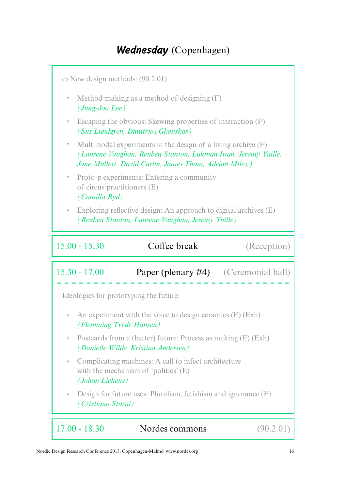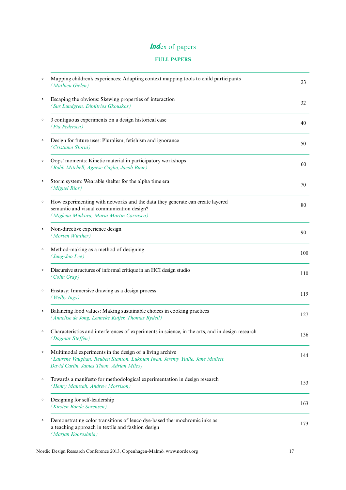## Index of papers

### **FULL PAPERS**

| Mapping children's experiences: Adapting context mapping tools to child participants<br>$\circ$<br>(Mathieu Gielen)                                                                | 23  |
|------------------------------------------------------------------------------------------------------------------------------------------------------------------------------------|-----|
| Escaping the obvious: Skewing properties of interaction<br>$\circ$<br>(Sus Lundgren, Dimitrios Gkouskos)                                                                           | 32  |
| 3 contiguous experiments on a design historical case<br>$\circ$<br>(Pia Pedersen)                                                                                                  | 40  |
| Design for future uses: Pluralism, fetishism and ignorance<br>$\circ$<br>(Cristiano Storni)                                                                                        | 50  |
| Oops! moments: Kinetic material in participatory workshops<br>$\circ$<br>(Robb Mitchell, Agnese Caglio, Jacob Buur)                                                                | 60  |
| Storm system: Wearable shelter for the alpha time era<br>$\circ$<br>(Miguel Rios)                                                                                                  | 70  |
| How experimenting with networks and the data they generate can create layered<br>$\circ$<br>semantic and visual communication design?<br>(Miglena Minkova, Maria Martin Carrasco)  | 80  |
| Non-directive experience design<br>$\circ$<br>(Morten Winther)                                                                                                                     | 90  |
| Method-making as a method of designing<br>$\circ$<br>(Jung-Joo Lee)                                                                                                                | 100 |
| Discursive structures of informal critique in an HCI design studio<br>(Colin Gray)                                                                                                 | 110 |
| Enstasy: Immersive drawing as a design process<br>(Welby Ings)                                                                                                                     | 119 |
| Balancing food values: Making sustainable choices in cooking practices<br>(Annelise de Jong, Lenneke Kuijer, Thomas Rydell)                                                        | 127 |
| Characteristics and interferences of experiments in science, in the arts, and in design research<br>(Dagmar Steffen)                                                               | 136 |
| Multimodal experiments in the design of a living archive<br>(Laurene Vaughan, Reuben Stanton, Lukman Iwan, Jeremy Yuille, Jane Mullett,<br>David Carlin, James Thom, Adrian Miles) | 144 |
| Towards a manifesto for methodological experimentation in design research<br>(Henry Mainsah, Andrew Morrison)                                                                      | 153 |
| Designing for self-leadership<br>(Kirsten Bonde Sørensen)                                                                                                                          | 163 |
| Demonstrating color transitions of leuco dye-based thermochromic inks as<br>a teaching approach in textile and fashion design<br>(Marjan Kooroshnia)                               | 173 |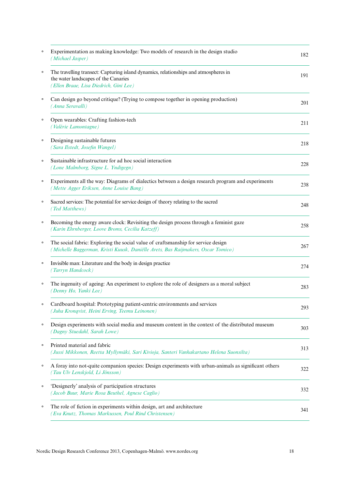| $\circ$ | Experimentation as making knowledge: Two models of research in the design studio<br>(Michael Jasper)                                                                   | 182 |
|---------|------------------------------------------------------------------------------------------------------------------------------------------------------------------------|-----|
| $\circ$ | The travelling transect: Capturing island dynamics, relationships and atmospheres in<br>the water landscapes of the Canaries<br>(Ellen Braae, Lisa Diedrich, Gini Lee) | 191 |
| $\circ$ | Can design go beyond critique? (Trying to compose together in opening production)<br>(Anna Seravalli)                                                                  | 201 |
| $\circ$ | Open wearables: Crafting fashion-tech<br>(Valérie Lamontagne)                                                                                                          | 211 |
| $\circ$ | Designing sustainable futures<br>(Sara Ilstedt, Josefin Wangel)                                                                                                        | 218 |
| $\circ$ | Sustainable infrastructure for ad hoc social interaction<br>(Lone Malmborg, Signe L. Yndigegn)                                                                         | 228 |
| $\circ$ | Experiments all the way: Diagrams of dialectics between a design research program and experiments<br>(Mette Agger Eriksen, Anne Louise Bang)                           | 238 |
| $\circ$ | Sacred services: The potential for service design of theory relating to the sacred<br>(Ted Matthews)                                                                   | 248 |
| $\circ$ | Becoming the energy aware clock: Revisiting the design process through a feminist gaze<br>(Karin Ehrnberger, Loove Broms, Cecilia Katzeff)                             | 258 |
| $\circ$ | The social fabric: Exploring the social value of craftsmanship for service design<br>(Michelle Baggerman, Kristi Kuusk, Daniëlle Arets, Bas Raijmakers, Oscar Tomico)  | 267 |
| $\circ$ | Invisible man: Literature and the body in design practice<br>(Tarryn Handcock)                                                                                         | 274 |
| $\circ$ | The ingenuity of ageing: An experiment to explore the role of designers as a moral subject<br>(Denny Ho, Yanki Lee)                                                    | 283 |
| $\circ$ | Cardboard hospital: Prototyping patient-centric environments and services<br>(Juha Kronqvist, Heini Erving, Teemu Leinonen)                                            | 293 |
| $\circ$ | Design experiments with social media and museum content in the context of the distributed museum<br>(Dagny Stuedahl, Sarah Lowe)                                       | 303 |
| $\circ$ | Printed material and fabric<br>(Jussi Mikkonen, Reetta Myllymäki, Sari Kivioja, Santeri Vanhakartano Helena Suonsilta)                                                 | 313 |
| $\circ$ | A foray into not-quite companion species: Design experiments with urban-animals as significant others<br>(Tau Ulv Lenskjold, Li Jönsson)                               | 322 |
| $\circ$ | 'Designerly' analysis of participation structures<br>(Jacob Buur, Marie Rosa Beuthel, Agnese Caglio)                                                                   | 332 |
| $\circ$ | The role of fiction in experiments within design, art and architecture<br>(Eva Knutz, Thomas Markussen, Poul Rind Christensen)                                         | 341 |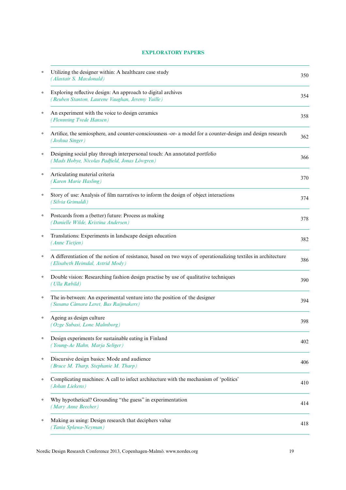#### **EXPLORATORY PAPERS**

| $\circ$ | Utilizing the designer within: A healthcare case study<br>(Alastair S. Macdonald)                                                                 | 350 |
|---------|---------------------------------------------------------------------------------------------------------------------------------------------------|-----|
| $\circ$ | Exploring reflective design: An approach to digital archives<br>(Reuben Stanton, Laurene Vaughan, Jeremy Yuille)                                  | 354 |
| $\circ$ | An experiment with the voice to design ceramics<br>(Flemming Tvede Hansen)                                                                        | 358 |
| $\circ$ | Artifice, the semiosphere, and counter-consciousness -or- a model for a counter-design and design research<br>(Joshua Singer)                     | 362 |
| $\circ$ | Designing social play through interpersonal touch: An annotated portfolio<br>(Mads Hobye, Nicolas Padfield, Jonas Löwgren)                        | 366 |
| $\circ$ | Articulating material criteria<br>(Karen Marie Hasling)                                                                                           | 370 |
| $\circ$ | Story of use: Analysis of film narratives to inform the design of object interactions<br>(Silvia Grimaldi)                                        | 374 |
| $\circ$ | Postcards from a (better) future: Process as making<br>(Danielle Wilde, Kristina Andersen)                                                        | 378 |
| $\circ$ | Translations: Experiments in landscape design education<br>(Anne Tietjen)                                                                         | 382 |
| $\circ$ | A differentiation of the notion of resistance, based on two ways of operationalizing textiles in architecture<br>(Elisabeth Heimdal, Astrid Mody) | 386 |
| $\circ$ | Double vision: Researching fashion design practise by use of qualitative techniques<br>(Ulla Ræbild)                                              | 390 |
| $\circ$ | The in-between: An experimental venture into the position of the designer<br>(Susana Cámara Leret, Bas Raijmakers)                                | 394 |
| $\circ$ | Ageing as design culture<br>(Ozge Subasi, Lone Malmborg)                                                                                          | 398 |
| $\circ$ | Design experiments for sustainable eating in Finland<br>(Young-Ae Hahn, Marja Seliger)                                                            | 402 |
| $\circ$ | Discursive design basics: Mode and audience<br>(Bruce M. Tharp, Stephanie M. Tharp)                                                               | 406 |
| $\circ$ | Complicating machines: A call to infect architecture with the mechanism of 'politics'<br>(Johan Liekens)                                          | 410 |
| $\circ$ | Why hypothetical? Grounding "the guess" in experimentation<br>(Mary Anne Beecher)                                                                 | 414 |
| $\circ$ | Making as using: Design research that deciphers value<br>(Tania Splawa-Neyman)                                                                    | 418 |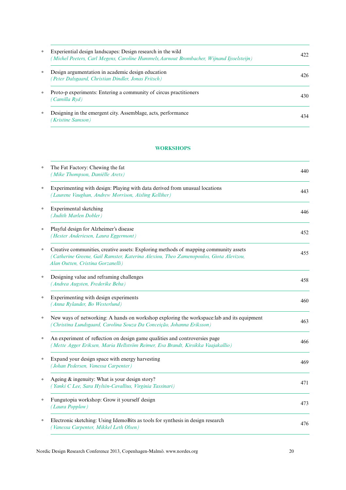| $\circ$ | Experiential design landscapes: Design research in the wild<br>(Michel Peeters, Carl Megens, Caroline Hummels, Aarnout Brombacher, Wijnand Ijsselsteijn) | 422 |
|---------|----------------------------------------------------------------------------------------------------------------------------------------------------------|-----|
| $\circ$ | Design argumentation in academic design education<br>(Peter Dalsgaard, Christian Dindler, Jonas Fritsch)                                                 | 426 |
| $\circ$ | Proto-p experiments: Entering a community of circus practitioners<br>(Camilla Ryd)                                                                       | 430 |
| $\circ$ | Designing in the emergent city. Assemblage, acts, performance<br>Kristine Samson)                                                                        | 434 |

#### **WORKSHOPS**

| $\circ$ | The Fat Factory: Chewing the fat<br>(Mike Thompson, Daniëlle Arets)                                                                                                                                                | 440 |
|---------|--------------------------------------------------------------------------------------------------------------------------------------------------------------------------------------------------------------------|-----|
| $\circ$ | Experimenting with design: Playing with data derived from unusual locations<br>(Laurene Vaughan, Andrew Morrison, Aisling Kelliher)                                                                                | 443 |
| $\circ$ | Experimental sketching<br>(Judith Marlen Dobler)                                                                                                                                                                   | 446 |
| $\circ$ | Playful design for Alzheimer's disease<br>(Hester Anderiesen, Laura Eggermont)                                                                                                                                     | 452 |
| $\circ$ | Creative communities, creative assets: Exploring methods of mapping community assets<br>(Catherine Greene, Gail Ramster, Katerina Alexiou, Theo Zamenopoulos, Giota Alevizou,<br>Alan Outten, Cristina Gorzanelli) | 455 |
| $\circ$ | Designing value and reframing challenges<br>(Andrea Augsten, Frederike Beha)                                                                                                                                       | 458 |
| $\circ$ | Experimenting with design experiments<br>(Anna Rylander, Bo Westerlund)                                                                                                                                            | 460 |
| $\circ$ | New ways of networking: A hands on workshop exploring the workspace: lab and its equipment<br>(Christina Lundsgaard, Carolina Souza Da Conceição, Johanna Eriksson)                                                | 463 |
| $\circ$ | An experiment of reflection on design game qualities and controversies page<br>(Mette Agger Eriksen, Maria Hellström Reimer, Eva Brandt, Kirsikka Vaajakallio)                                                     | 466 |
| $\circ$ | Expand your design space with energy harvesting<br>(Johan Pedersen, Vanessa Carpenter)                                                                                                                             | 469 |
| $\circ$ | Ageing & ingenuity: What is your design story?<br>(Yanki C Lee, Sara Hyltén-Cavallius, Virginia Tassinari)                                                                                                         | 471 |
| $\circ$ | Fungutopia workshop: Grow it yourself design<br>(Laura Popplow)                                                                                                                                                    | 473 |
| $\circ$ | Electronic sketching: Using IdemoBits as tools for synthesis in design research<br>(Vanessa Carpenter, Mikkel Leth Olsen)                                                                                          | 476 |